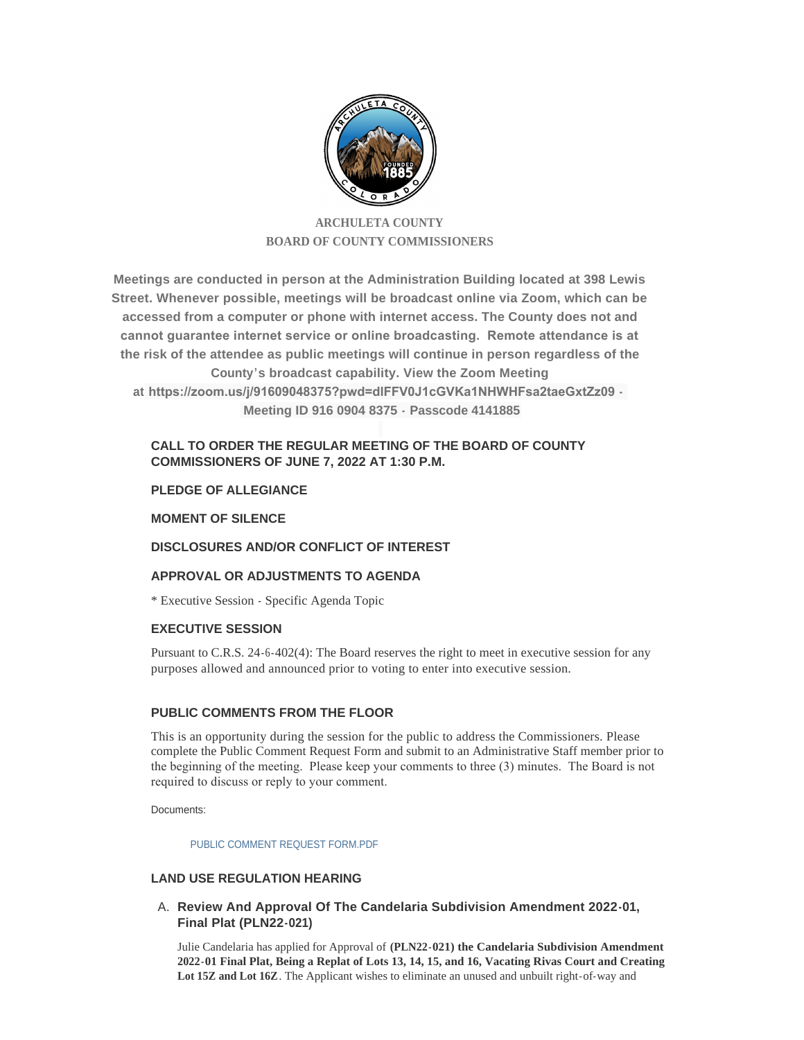

# **ARCHULETA COUNTY BOARD OF COUNTY COMMISSIONERS**

**Meetings are conducted in person at the Administration Building located at 398 Lewis Street. Whenever possible, meetings will be broadcast online via Zoom, which can be accessed from a computer or phone with internet access. The County does not and cannot guarantee internet service or online broadcasting. Remote attendance is at the risk of the attendee as public meetings will continue in person regardless of the County's broadcast capability. View the Zoom Meeting at https://zoom.us/j/91609048375?pwd=dlFFV0J1cGVKa1NHWHFsa2taeGxtZz09 - Meeting ID 916 0904 8375 - Passcode 4141885**

# **CALL TO ORDER THE REGULAR MEETING OF THE BOARD OF COUNTY COMMISSIONERS OF JUNE 7, 2022 AT 1:30 P.M.**

# **PLEDGE OF ALLEGIANCE**

### **MOMENT OF SILENCE**

# **DISCLOSURES AND/OR CONFLICT OF INTEREST**

# **APPROVAL OR ADJUSTMENTS TO AGENDA**

\* Executive Session - Specific Agenda Topic

### **EXECUTIVE SESSION**

Pursuant to C.R.S. 24-6-402(4): The Board reserves the right to meet in executive session for any purposes allowed and announced prior to voting to enter into executive session.

### **PUBLIC COMMENTS FROM THE FLOOR**

This is an opportunity during the session for the public to address the Commissioners. Please complete the Public Comment Request Form and submit to an Administrative Staff member prior to the beginning of the meeting. Please keep your comments to three (3) minutes. The Board is not required to discuss or reply to your comment.

Documents:

PUBLIC COMMENT REQUEST FORM PDF

### **LAND USE REGULATION HEARING**

**Review And Approval Of The Candelaria Subdivision Amendment 2022-01,**  A. **Final Plat (PLN22-021)**

Julie Candelaria has applied for Approval of **(PLN22-021) the Candelaria Subdivision Amendment 2022-01 Final Plat, Being a Replat of Lots 13, 14, 15, and 16, Vacating Rivas Court and Creating Lot 15Z and Lot 16Z**. The Applicant wishes to eliminate an unused and unbuilt right-of-way and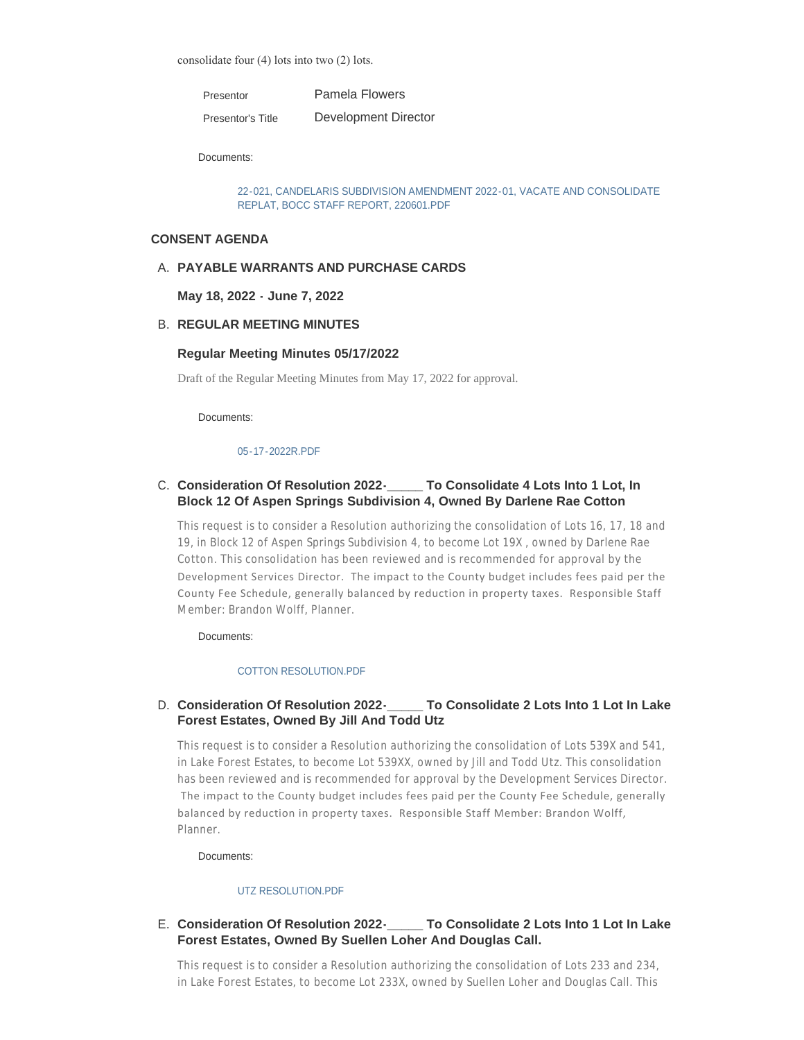consolidate four (4) lots into two (2) lots.

Pamela Flowers Presentor

Development Director Presentor's Title

Documents:

[22-021, CANDELARIS SUBDIVISION AMENDMENT 2022-01, VACATE AND CONSOLIDATE](http://www.archuletacounty.org/AgendaCenter/ViewFile/Item/10621?fileID=8294)  REPLAT, BOCC STAFF REPORT, 220601.PDF

### **CONSENT AGENDA**

# **PAYABLE WARRANTS AND PURCHASE CARDS** A.

### **May 18, 2022 - June 7, 2022**

### **REGULAR MEETING MINUTES** B.

#### **Regular Meeting Minutes 05/17/2022**

Draft of the Regular Meeting Minutes from May 17, 2022 for approval.

Documents:

#### [05-17-2022R.PDF](http://www.archuletacounty.org/AgendaCenter/ViewFile/Item/10636?fileID=8304)

# **Consideration Of Resolution 2022-\_\_\_\_\_ To Consolidate 4 Lots Into 1 Lot, In**  C. **Block 12 Of Aspen Springs Subdivision 4, Owned By Darlene Rae Cotton**

This request is to consider a Resolution authorizing the consolidation of Lots 16, 17, 18 and 19, in Block 12 of Aspen Springs Subdivision 4, to become Lot 19X , owned by Darlene Rae Cotton. This consolidation has been reviewed and is recommended for approval by the Development Services Director. The impact to the County budget includes fees paid per the County Fee Schedule, generally balanced by reduction in property taxes. Responsible Staff Member: Brandon Wolff, Planner.

Documents:

### [COTTON RESOLUTION.PDF](http://www.archuletacounty.org/AgendaCenter/ViewFile/Item/10623?fileID=8295)

### **Consideration Of Resolution 2022-\_\_\_\_\_ To Consolidate 2 Lots Into 1 Lot In Lake**  D. **Forest Estates, Owned By Jill And Todd Utz**

This request is to consider a Resolution authorizing the consolidation of Lots 539X and 541, in Lake Forest Estates, to become Lot 539XX, owned by Jill and Todd Utz. This consolidation has been reviewed and is recommended for approval by the Development Services Director. The impact to the County budget includes fees paid per the County Fee Schedule, generally balanced by reduction in property taxes. Responsible Staff Member: Brandon Wolff, Planner.

Documents:

#### [UTZ RESOLUTION.PDF](http://www.archuletacounty.org/AgendaCenter/ViewFile/Item/10626?fileID=8298)

# **Consideration Of Resolution 2022-\_\_\_\_\_ To Consolidate 2 Lots Into 1 Lot In Lake**  E. **Forest Estates, Owned By Suellen Loher And Douglas Call.**

This request is to consider a Resolution authorizing the consolidation of Lots 233 and 234, in Lake Forest Estates, to become Lot 233X, owned by Suellen Loher and Douglas Call. This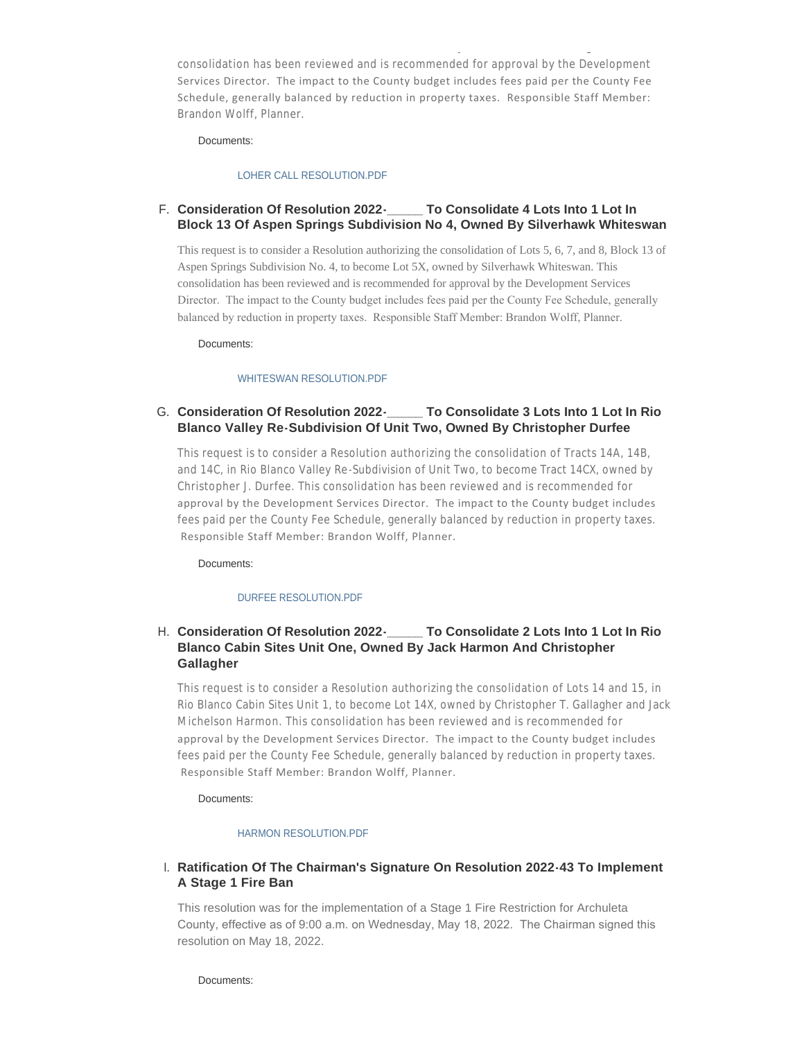consolidation has been reviewed and is recommended for approval by the Development Services Director. The impact to the County budget includes fees paid per the County Fee Schedule, generally balanced by reduction in property taxes. Responsible Staff Member: Brandon Wolff, Planner.

in Lake Forest Estates, to become Lot 233X, owned by Suellen Loher and Douglas Call. This

Documents:

#### [LOHER CALL RESOLUTION.PDF](http://www.archuletacounty.org/AgendaCenter/ViewFile/Item/10624?fileID=8296)

# **Consideration Of Resolution 2022-\_\_\_\_\_ To Consolidate 4 Lots Into 1 Lot In**  F. **Block 13 Of Aspen Springs Subdivision No 4, Owned By Silverhawk Whiteswan**

This request is to consider a Resolution authorizing the consolidation of Lots 5, 6, 7, and 8, Block 13 of Aspen Springs Subdivision No. 4, to become Lot 5X, owned by Silverhawk Whiteswan. This consolidation has been reviewed and is recommended for approval by the Development Services Director. The impact to the County budget includes fees paid per the County Fee Schedule, generally balanced by reduction in property taxes. Responsible Staff Member: Brandon Wolff, Planner.

Documents:

#### [WHITESWAN RESOLUTION.PDF](http://www.archuletacounty.org/AgendaCenter/ViewFile/Item/10625?fileID=8297)

#### **Consolidate 3 Lots Into 1 Lot In Rio Blanco Valley Re-Subdivision Of Unit Two, Owned By Christopher Durfee** G. Consideration Of Resolution 2022-

This request is to consider a Resolution authorizing the consolidation of Tracts 14A, 14B, and 14C, in Rio Blanco Valley Re -Subdivision of Unit Two, to become Tract 14CX, owned by Christopher J. Durfee. This consolidation has been reviewed and is recommended for approval by the Development Services Director. The impact to the County budget includes fees paid per the County Fee Schedule, generally balanced by reduction in property taxes. Responsible Staff Member: Brandon Wolff, Planner.

Documents:

#### [DURFEE RESOLUTION.PDF](http://www.archuletacounty.org/AgendaCenter/ViewFile/Item/10628?fileID=8300)

# **Consideration Of Resolution 2022-\_\_\_\_\_ To Consolidate 2 Lots Into 1 Lot In Rio**  H. **Blanco Cabin Sites Unit One, Owned By Jack Harmon And Christopher Gallagher**

This request is to consider a Resolution authorizing the consolidation of Lots 14 and 15, in Rio Blanco Cabin Sites Unit 1, to become Lot 14X, owned by Christopher T. Gallagher and Jack Michelson Harmon. This consolidation has been reviewed and is recommended for approval by the Development Services Director. The impact to the County budget includes fees paid per the County Fee Schedule, generally balanced by reduction in property taxes. Responsible Staff Member: Brandon Wolff, Planner.

Documents:

#### [HARMON RESOLUTION.PDF](http://www.archuletacounty.org/AgendaCenter/ViewFile/Item/10627?fileID=8299)

# **Ratification Of The Chairman's Signature On Resolution 2022-43 To Implement**  I. **A Stage 1 Fire Ban**

This resolution was for the implementation of a Stage 1 Fire Restriction for Archuleta County, effective as of 9:00 a.m. on Wednesday, May 18, 2022. The Chairman signed this resolution on May 18, 2022.

Documents: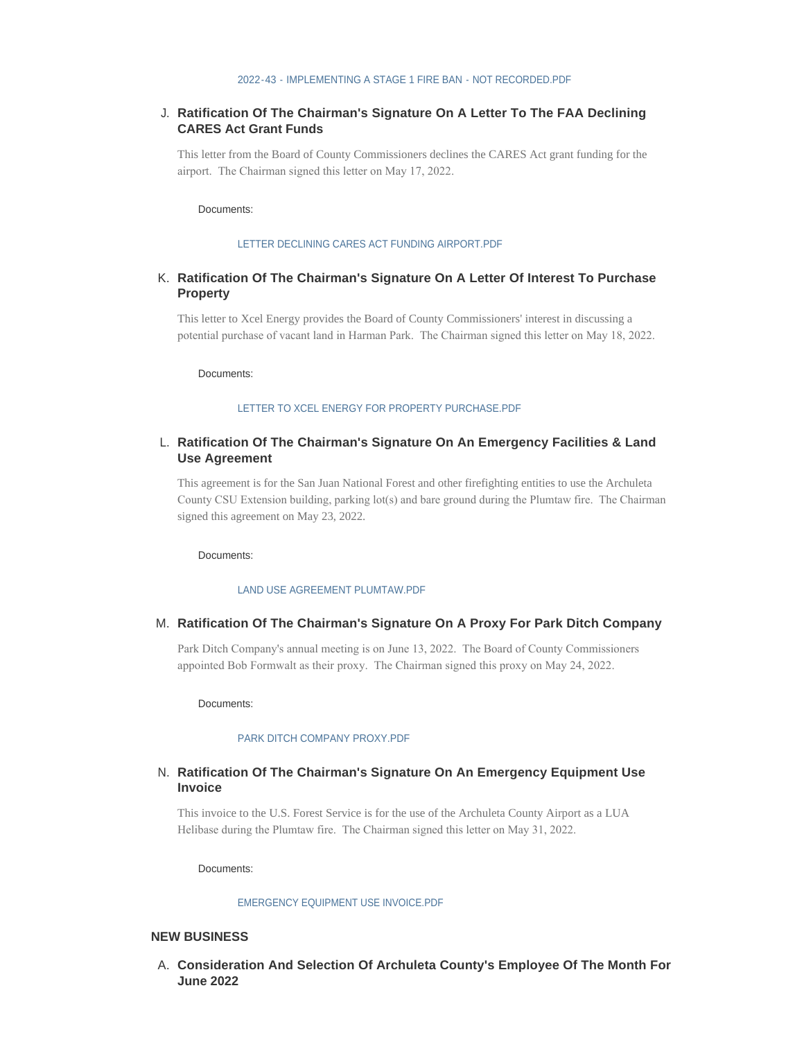### **Ratification Of The Chairman's Signature On A Letter To The FAA Declining**  J. **CARES Act Grant Funds**

This letter from the Board of County Commissioners declines the CARES Act grant funding for the airport. The Chairman signed this letter on May 17, 2022.

Documents:

#### [LETTER DECLINING CARES ACT FUNDING AIRPORT.PDF](http://www.archuletacounty.org/AgendaCenter/ViewFile/Item/10638?fileID=8306)

### **Ratification Of The Chairman's Signature On A Letter Of Interest To Purchase**  K. **Property**

This letter to Xcel Energy provides the Board of County Commissioners' interest in discussing a potential purchase of vacant land in Harman Park. The Chairman signed this letter on May 18, 2022.

Documents:

#### [LETTER TO XCEL ENERGY FOR PROPERTY PURCHASE.PDF](http://www.archuletacounty.org/AgendaCenter/ViewFile/Item/10639?fileID=8307)

### **Ratification Of The Chairman's Signature On An Emergency Facilities & Land**  L. **Use Agreement**

This agreement is for the San Juan National Forest and other firefighting entities to use the Archuleta County CSU Extension building, parking lot(s) and bare ground during the Plumtaw fire. The Chairman signed this agreement on May 23, 2022.

Documents:

#### [LAND USE AGREEMENT PLUMTAW.PDF](http://www.archuletacounty.org/AgendaCenter/ViewFile/Item/10640?fileID=8308)

#### **Ratification Of The Chairman's Signature On A Proxy For Park Ditch Company** M.

Park Ditch Company's annual meeting is on June 13, 2022. The Board of County Commissioners appointed Bob Formwalt as their proxy. The Chairman signed this proxy on May 24, 2022.

Documents:

#### [PARK DITCH COMPANY PROXY.PDF](http://www.archuletacounty.org/AgendaCenter/ViewFile/Item/10641?fileID=8309)

### **Ratification Of The Chairman's Signature On An Emergency Equipment Use**  N. **Invoice**

This invoice to the U.S. Forest Service is for the use of the Archuleta County Airport as a LUA Helibase during the Plumtaw fire. The Chairman signed this letter on May 31, 2022.

Documents:

#### [EMERGENCY EQUIPMENT USE INVOICE.PDF](http://www.archuletacounty.org/AgendaCenter/ViewFile/Item/10642?fileID=8310)

#### **NEW BUSINESS**

**Consideration And Selection Of Archuleta County's Employee Of The Month For**  A. **June 2022**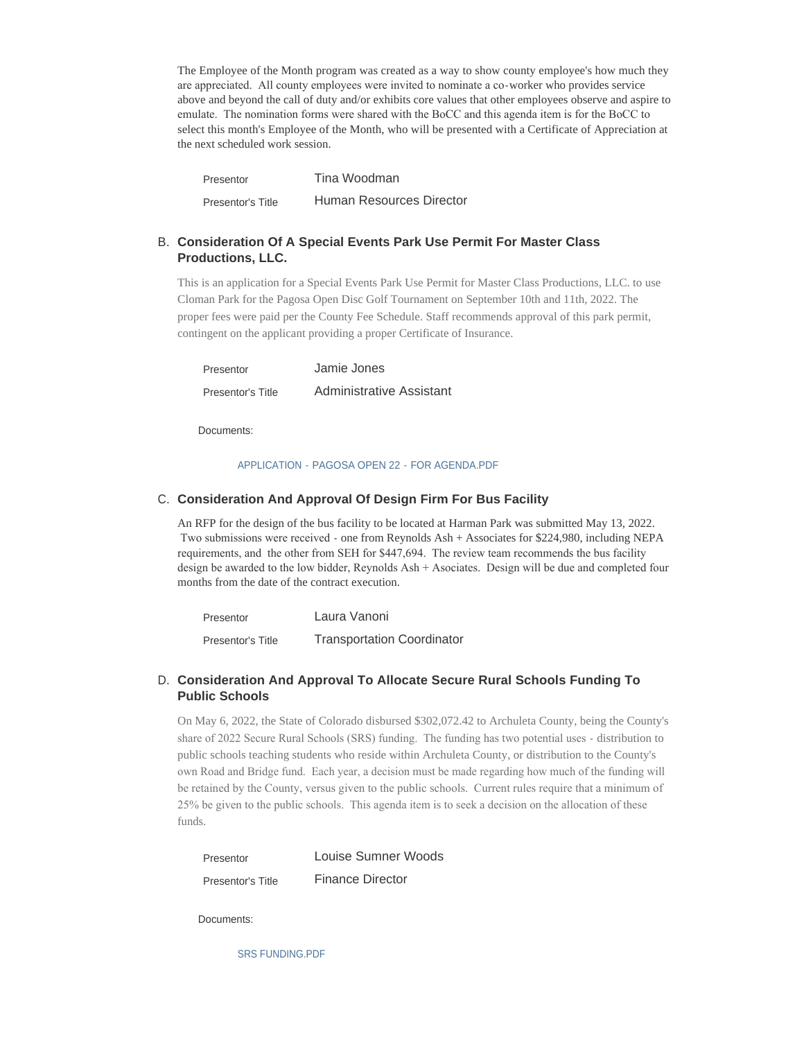The Employee of the Month program was created as a way to show county employee's how much they are appreciated. All county employees were invited to nominate a co-worker who provides service above and beyond the call of duty and/or exhibits core values that other employees observe and aspire to emulate. The nomination forms were shared with the BoCC and this agenda item is for the BoCC to select this month's Employee of the Month, who will be presented with a Certificate of Appreciation at the next scheduled work session.

Tina Woodman Human Resources Director Presentor Presentor's Title

# **Consideration Of A Special Events Park Use Permit For Master Class**  B. **Productions, LLC.**

This is an application for a Special Events Park Use Permit for Master Class Productions, LLC. to use Cloman Park for the Pagosa Open Disc Golf Tournament on September 10th and 11th, 2022. The proper fees were paid per the County Fee Schedule. Staff recommends approval of this park permit, contingent on the applicant providing a proper Certificate of Insurance.

Jamie Jones Administrative Assistant Presentor Presentor's Title

Documents:

#### [APPLICATION - PAGOSA OPEN 22 - FOR AGENDA.PDF](http://www.archuletacounty.org/AgendaCenter/ViewFile/Item/10644?fileID=8311)

# **C. Consideration And Approval Of Design Firm For Bus Facility**

An RFP for the design of the bus facility to be located at Harman Park was submitted May 13, 2022. Two submissions were received - one from Reynolds Ash + Associates for \$224,980, including NEPA requirements, and the other from SEH for \$447,694. The review team recommends the bus facility design be awarded to the low bidder, Reynolds Ash + Asociates. Design will be due and completed four months from the date of the contract execution.

| Presentor         | Laura Vanoni                      |
|-------------------|-----------------------------------|
| Presentor's Title | <b>Transportation Coordinator</b> |

# **Consideration And Approval To Allocate Secure Rural Schools Funding To**  D. **Public Schools**

On May 6, 2022, the State of Colorado disbursed \$302,072.42 to Archuleta County, being the County's share of 2022 Secure Rural Schools (SRS) funding. The funding has two potential uses - distribution to public schools teaching students who reside within Archuleta County, or distribution to the County's own Road and Bridge fund. Each year, a decision must be made regarding how much of the funding will be retained by the County, versus given to the public schools. Current rules require that a minimum of 25% be given to the public schools. This agenda item is to seek a decision on the allocation of these funds.

| Presentor                | Louise Sumner Woods     |
|--------------------------|-------------------------|
| <b>Presentor's Title</b> | <b>Finance Director</b> |

Documents:

[SRS FUNDING.PDF](http://www.archuletacounty.org/AgendaCenter/ViewFile/Item/10646?fileID=8312)